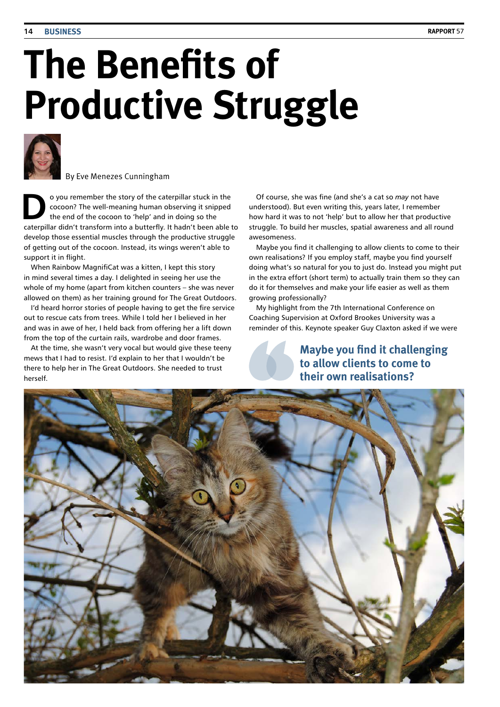# **The Benefits of Productive Struggle**



By Eve Menezes Cunningham

**Do you remember the story of the caterpillar stuck in the cocoon? The well-meaning human observing it snipped<br>the end of the cocoon to 'help' and in doing so the<br><b>the containing distribution of the computer** is the button cocoon? The well-meaning human observing it snipped caterpillar didn't transform into a butterfly. It hadn't been able to develop those essential muscles through the productive struggle of getting out of the cocoon. Instead, its wings weren't able to support it in flight.

When Rainbow MagnifiCat was a kitten, I kept this story in mind several times a day. I delighted in seeing her use the whole of my home (apart from kitchen counters – she was never allowed on them) as her training ground for The Great Outdoors.

I'd heard horror stories of people having to get the fire service out to rescue cats from trees. While I told her I believed in her and was in awe of her, I held back from offering her a lift down from the top of the curtain rails, wardrobe and door frames.

At the time, she wasn't very vocal but would give these teeny mews that I had to resist. I'd explain to her that I wouldn't be there to help her in The Great Outdoors. She needed to trust herself.

Of course, she was fine (and she's a cat so *may* not have understood). But even writing this, years later, I remember how hard it was to not 'help' but to allow her that productive struggle. To build her muscles, spatial awareness and all round awesomeness.

Maybe you find it challenging to allow clients to come to their own realisations? If you employ staff, maybe you find yourself doing what's so natural for you to just do. Instead you might put in the extra effort (short term) to actually train them so they can do it for themselves and make your life easier as well as them growing professionally?

My highlight from the 7th International Conference on Coaching Supervision at Oxford Brookes University was a reminder of this. Keynote speaker Guy Claxton asked if we were

> **Maybe you find it challenging to allow clients to come to their own realisations?**

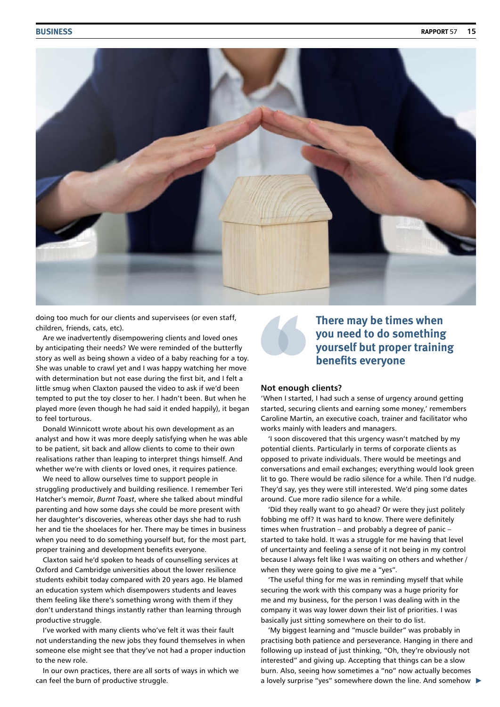

doing too much for our clients and supervisees (or even staff, children, friends, cats, etc).

Are we inadvertently disempowering clients and loved ones by anticipating their needs? We were reminded of the butterfly story as well as being shown a video of a baby reaching for a toy. She was unable to crawl yet and I was happy watching her move with determination but not ease during the first bit, and I felt a little smug when Claxton paused the video to ask if we'd been tempted to put the toy closer to her. I hadn't been. But when he played more (even though he had said it ended happily), it began to feel torturous.

Donald Winnicott wrote about his own development as an analyst and how it was more deeply satisfying when he was able to be patient, sit back and allow clients to come to their own realisations rather than leaping to interpret things himself. And whether we're with clients or loved ones, it requires patience.

We need to allow ourselves time to support people in struggling productively and building resilience. I remember Teri Hatcher's memoir, *Burnt Toast*, where she talked about mindful parenting and how some days she could be more present with her daughter's discoveries, whereas other days she had to rush her and tie the shoelaces for her. There may be times in business when you need to do something yourself but, for the most part, proper training and development benefits everyone.

Claxton said he'd spoken to heads of counselling services at Oxford and Cambridge universities about the lower resilience students exhibit today compared with 20 years ago. He blamed an education system which disempowers students and leaves them feeling like there's something wrong with them if they don't understand things instantly rather than learning through productive struggle.

I've worked with many clients who've felt it was their fault not understanding the new jobs they found themselves in when someone else might see that they've not had a proper induction to the new role.

In our own practices, there are all sorts of ways in which we can feel the burn of productive struggle.



## **There may be times when you need to do something yourself but proper training benefits everyone**

#### **Not enough clients?**

'When I started, I had such a sense of urgency around getting started, securing clients and earning some money,' remembers Caroline Martin, an executive coach, trainer and facilitator who works mainly with leaders and managers.

'I soon discovered that this urgency wasn't matched by my potential clients. Particularly in terms of corporate clients as opposed to private individuals. There would be meetings and conversations and email exchanges; everything would look green lit to go. There would be radio silence for a while. Then I'd nudge. They'd say, yes they were still interested. We'd ping some dates around. Cue more radio silence for a while.

'Did they really want to go ahead? Or were they just politely fobbing me off? It was hard to know. There were definitely times when frustration – and probably a degree of panic – started to take hold. It was a struggle for me having that level of uncertainty and feeling a sense of it not being in my control because I always felt like I was waiting on others and whether / when they were going to give me a "yes".

'The useful thing for me was in reminding myself that while securing the work with this company was a huge priority for me and my business, for the person I was dealing with in the company it was way lower down their list of priorities. I was basically just sitting somewhere on their to do list.

'My biggest learning and "muscle builder" was probably in practising both patience and perseverance. Hanging in there and following up instead of just thinking, "Oh, they're obviously not interested" and giving up. Accepting that things can be a slow burn. Also, seeing how sometimes a "no" now actually becomes a lovely surprise "yes" somewhere down the line. And somehow  $\blacktriangleright$